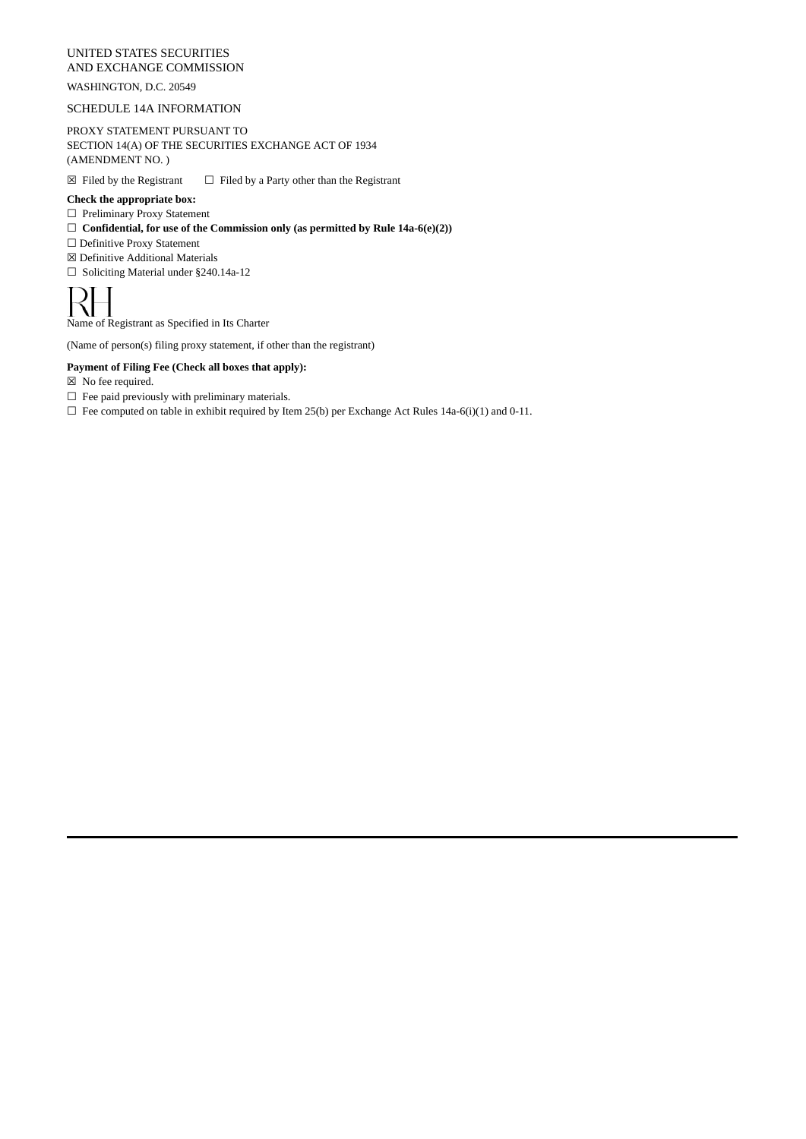### UNITED STATES SECURITIES AND EXCHANGE COMMISSION

# WASHINGTON, D.C. 20549

### SCHEDULE 14A INFORMATION

PROXY STATEMENT PURSUANT TO SECTION 14(A) OF THE SECURITIES EXCHANGE ACT OF 1934 (AMENDMENT NO. )

 $\boxtimes$  Filed by the Registrant  $\Box$  Filed by a Party other than the Registrant

## **Check the appropriate box:**

- ☐ Preliminary Proxy Statement
- ☐ **Confidential, for use of the Commission only (as permitted by Rule 14a-6(e)(2))**
- ☐ Definitive Proxy Statement
- ☒ Definitive Additional Materials
- ☐ Soliciting Material under §240.14a-12

Name of Registrant as Specified in Its Charter

(Name of person(s) filing proxy statement, if other than the registrant)

### **Payment of Filing Fee (Check all boxes that apply):**

- ☒ No fee required.
- $\Box~$  Fee paid previously with preliminary materials.

 $\Box$  Fee computed on table in exhibit required by Item 25(b) per Exchange Act Rules 14a-6(i)(1) and 0-11.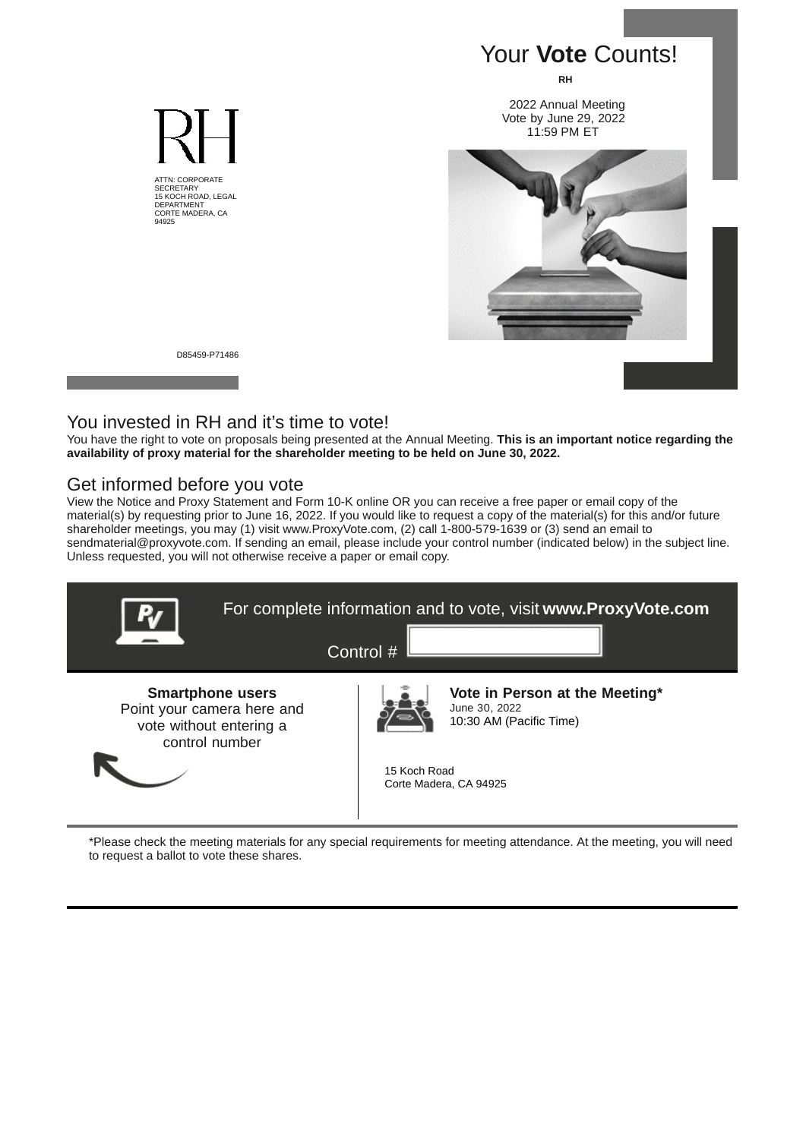

D85459-P71486

ATTN: CORPORATE SECRETARY 15 KOCH ROAD, LEGAL DEPARTMENT CORTE MADERA, CA 94925

# You invested in RH and it's time to vote!

You have the right to vote on proposals being presented at the Annual Meeting. **This is an important notice regarding the availability of proxy material for the shareholder meeting to be held on June 30, 2022.**

# Get informed before you vote

View the Notice and Proxy Statement and Form 10-K online OR you can receive a free paper or email copy of the material(s) by requesting prior to June 16, 2022. If you would like to request a copy of the material(s) for this and/or future shareholder meetings, you may (1) visit www.ProxyVote.com, (2) call 1-800-579-1639 or (3) send an email to sendmaterial@proxyvote.com. If sending an email, please include your control number (indicated below) in the subject line. Unless requested, you will not otherwise receive a paper or email copy.



\*Please check the meeting materials for any special requirements for meeting attendance. At the meeting, you will need to request a ballot to vote these shares.